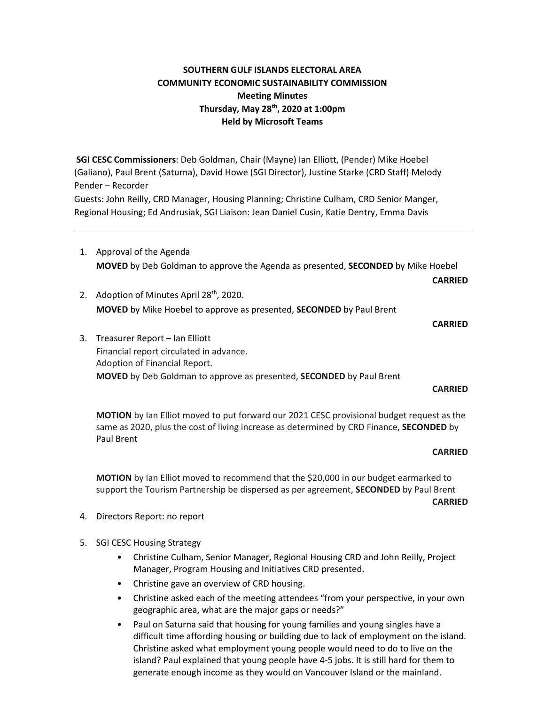# **SOUTHERN GULF ISLANDS ELECTORAL AREA COMMUNITY ECONOMIC SUSTAINABILITY COMMISSION Meeting Minutes Thursday, May 28th, 2020 at 1:00pm Held by Microsoft Teams**

**SGI CESC Commissioners**: Deb Goldman, Chair (Mayne) Ian Elliott, (Pender) Mike Hoebel (Galiano), Paul Brent (Saturna), David Howe (SGI Director), Justine Starke (CRD Staff) Melody Pender – Recorder

Guests: John Reilly, CRD Manager, Housing Planning; Christine Culham, CRD Senior Manger, Regional Housing; Ed Andrusiak, SGI Liaison: Jean Daniel Cusin, Katie Dentry, Emma Davis

- 1. Approval of the Agenda **MOVED** by Deb Goldman to approve the Agenda as presented, **SECONDED** by Mike Hoebel
- 2. Adoption of Minutes April 28<sup>th</sup>, 2020. **MOVED** by Mike Hoebel to approve as presented, **SECONDED** by Paul Brent

#### **CARRIED**

**CARRIED**

3. Treasurer Report – Ian Elliott Financial report circulated in advance. Adoption of Financial Report. **MOVED** by Deb Goldman to approve as presented, **SECONDED** by Paul Brent

#### **CARRIED**

**MOTION** by Ian Elliot moved to put forward our 2021 CESC provisional budget request as the same as 2020, plus the cost of living increase as determined by CRD Finance, **SECONDED** by Paul Brent

#### **CARRIED**

**MOTION** by Ian Elliot moved to recommend that the \$20,000 in our budget earmarked to support the Tourism Partnership be dispersed as per agreement, **SECONDED** by Paul Brent

**CARRIED**

- 4. Directors Report: no report
- 5. SGI CESC Housing Strategy
	- Christine Culham, Senior Manager, Regional Housing CRD and John Reilly, Project Manager, Program Housing and Initiatives CRD presented.
	- Christine gave an overview of CRD housing.
	- Christine asked each of the meeting attendees "from your perspective, in your own geographic area, what are the major gaps or needs?"
	- Paul on Saturna said that housing for young families and young singles have a difficult time affording housing or building due to lack of employment on the island. Christine asked what employment young people would need to do to live on the island? Paul explained that young people have 4-5 jobs. It is still hard for them to generate enough income as they would on Vancouver Island or the mainland.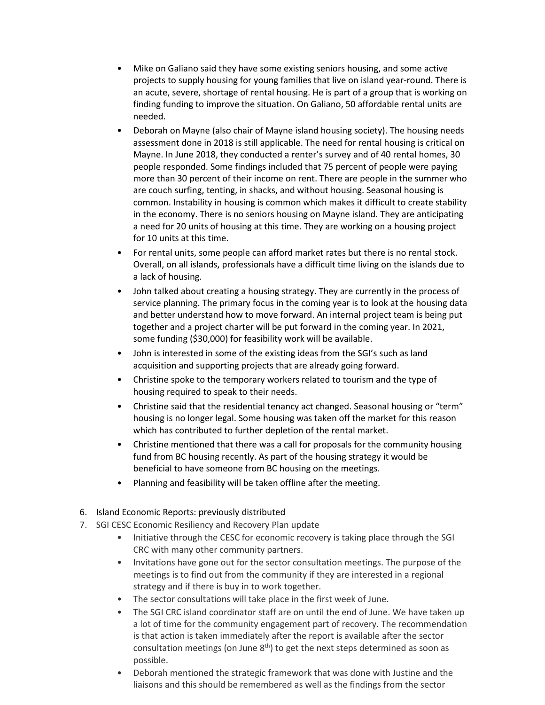- Mike on Galiano said they have some existing seniors housing, and some active projects to supply housing for young families that live on island year-round. There is an acute, severe, shortage of rental housing. He is part of a group that is working on finding funding to improve the situation. On Galiano, 50 affordable rental units are needed.
- Deborah on Mayne (also chair of Mayne island housing society). The housing needs assessment done in 2018 is still applicable. The need for rental housing is critical on Mayne. In June 2018, they conducted a renter's survey and of 40 rental homes, 30 people responded. Some findings included that 75 percent of people were paying more than 30 percent of their income on rent. There are people in the summer who are couch surfing, tenting, in shacks, and without housing. Seasonal housing is common. Instability in housing is common which makes it difficult to create stability in the economy. There is no seniors housing on Mayne island. They are anticipating a need for 20 units of housing at this time. They are working on a housing project for 10 units at this time.
- For rental units, some people can afford market rates but there is no rental stock. Overall, on all islands, professionals have a difficult time living on the islands due to a lack of housing.
- John talked about creating a housing strategy. They are currently in the process of service planning. The primary focus in the coming year is to look at the housing data and better understand how to move forward. An internal project team is being put together and a project charter will be put forward in the coming year. In 2021, some funding (\$30,000) for feasibility work will be available.
- John is interested in some of the existing ideas from the SGI's such as land acquisition and supporting projects that are already going forward.
- Christine spoke to the temporary workers related to tourism and the type of housing required to speak to their needs.
- Christine said that the residential tenancy act changed. Seasonal housing or "term" housing is no longer legal. Some housing was taken off the market for this reason which has contributed to further depletion of the rental market.
- Christine mentioned that there was a call for proposals for the community housing fund from BC housing recently. As part of the housing strategy it would be beneficial to have someone from BC housing on the meetings.
- Planning and feasibility will be taken offline after the meeting.
- 6. Island Economic Reports: previously distributed
- 7. SGI CESC Economic Resiliency and Recovery Plan update
	- Initiative through the CESC for economic recovery is taking place through the SGI CRC with many other community partners.
	- Invitations have gone out for the sector consultation meetings. The purpose of the meetings is to find out from the community if they are interested in a regional strategy and if there is buy in to work together.
	- The sector consultations will take place in the first week of June.
	- The SGI CRC island coordinator staff are on until the end of June. We have taken up a lot of time for the community engagement part of recovery. The recommendation is that action is taken immediately after the report is available after the sector consultation meetings (on June  $8<sup>th</sup>$ ) to get the next steps determined as soon as possible.
	- Deborah mentioned the strategic framework that was done with Justine and the liaisons and this should be remembered as well as the findings from the sector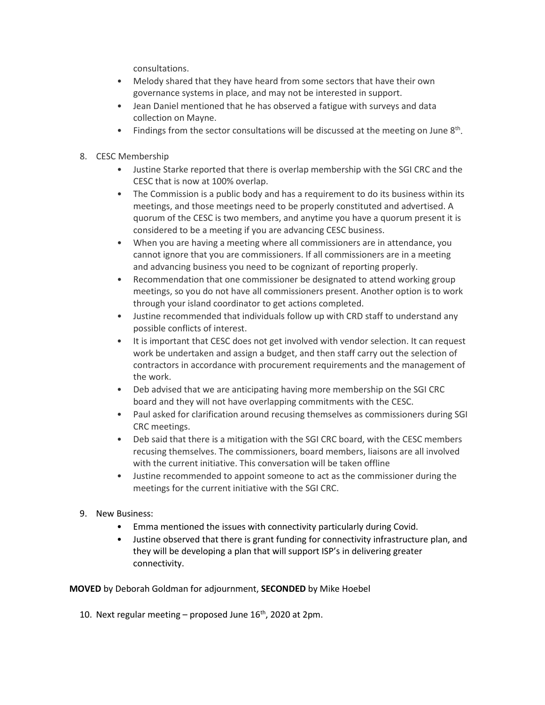consultations.

- Melody shared that they have heard from some sectors that have their own governance systems in place, and may not be interested in support.
- Jean Daniel mentioned that he has observed a fatigue with surveys and data collection on Mayne.
- Findings from the sector consultations will be discussed at the meeting on June  $8<sup>th</sup>$ .
- 8. CESC Membership
	- Justine Starke reported that there is overlap membership with the SGI CRC and the CESC that is now at 100% overlap.
	- The Commission is a public body and has a requirement to do its business within its meetings, and those meetings need to be properly constituted and advertised. A quorum of the CESC is two members, and anytime you have a quorum present it is considered to be a meeting if you are advancing CESC business.
	- When you are having a meeting where all commissioners are in attendance, you cannot ignore that you are commissioners. If all commissioners are in a meeting and advancing business you need to be cognizant of reporting properly.
	- Recommendation that one commissioner be designated to attend working group meetings, so you do not have all commissioners present. Another option is to work through your island coordinator to get actions completed.
	- Justine recommended that individuals follow up with CRD staff to understand any possible conflicts of interest.
	- It is important that CESC does not get involved with vendor selection. It can request work be undertaken and assign a budget, and then staff carry out the selection of contractors in accordance with procurement requirements and the management of the work.
	- Deb advised that we are anticipating having more membership on the SGI CRC board and they will not have overlapping commitments with the CESC.
	- Paul asked for clarification around recusing themselves as commissioners during SGI CRC meetings.
	- Deb said that there is a mitigation with the SGI CRC board, with the CESC members recusing themselves. The commissioners, board members, liaisons are all involved with the current initiative. This conversation will be taken offline
	- Justine recommended to appoint someone to act as the commissioner during the meetings for the current initiative with the SGI CRC.
- 9. New Business:
	- Emma mentioned the issues with connectivity particularly during Covid.
	- Justine observed that there is grant funding for connectivity infrastructure plan, and they will be developing a plan that will support ISP's in delivering greater connectivity.

**MOVED** by Deborah Goldman for adjournment, **SECONDED** by Mike Hoebel

10. Next regular meeting  $-$  proposed June  $16<sup>th</sup>$ , 2020 at 2pm.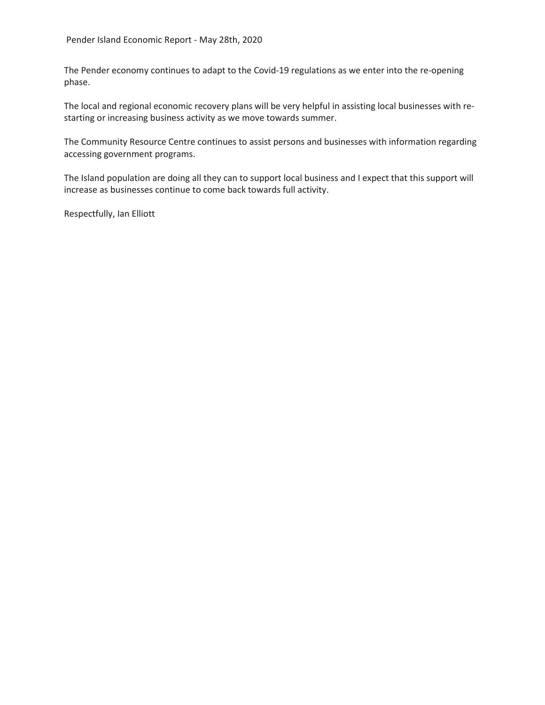The Pender economy continues to adapt to the Covid-19 regulations as we enter into the re-opening phase.

The local and regional economic recovery plans will be very helpful in assisting local businesses with restarting or increasing business activity as we move towards summer.

The Community Resource Centre continues to assist persons and businesses with information regarding accessing government programs.

The Island population are doing all they can to support local business and I expect that this support will increase as businesses continue to come back towards full activity.

Respectfully, Ian Elliott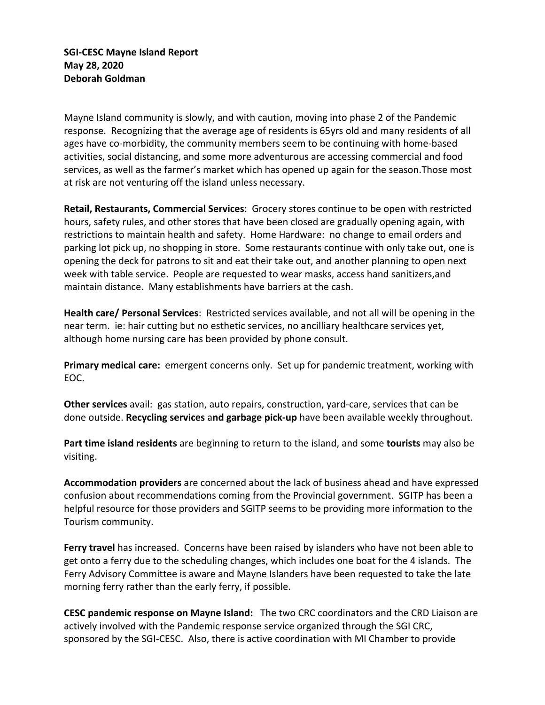Mayne Island community is slowly, and with caution, moving into phase 2 of the Pandemic response. Recognizing that the average age of residents is 65yrs old and many residents of all ages have co-morbidity, the community members seem to be continuing with home-based activities, social distancing, and some more adventurous are accessing commercial and food services, as well as the farmer's market which has opened up again for the season.Those most at risk are not venturing off the island unless necessary.

**Retail, Restaurants, Commercial Services**: Grocery stores continue to be open with restricted hours, safety rules, and other stores that have been closed are gradually opening again, with restrictions to maintain health and safety. Home Hardware: no change to email orders and parking lot pick up, no shopping in store. Some restaurants continue with only take out, one is opening the deck for patrons to sit and eat their take out, and another planning to open next week with table service. People are requested to wear masks, access hand sanitizers,and maintain distance. Many establishments have barriers at the cash.

**Health care/ Personal Services**: Restricted services available, and not all will be opening in the near term. ie: hair cutting but no esthetic services, no ancilliary healthcare services yet, although home nursing care has been provided by phone consult.

**Primary medical care:** emergent concerns only. Set up for pandemic treatment, working with EOC.

**Other services** avail: gas station, auto repairs, construction, yard-care, services that can be done outside. **Recycling services** a**nd garbage pick-up** have been available weekly throughout.

**Part time island residents** are beginning to return to the island, and some **tourists** may also be visiting.

**Accommodation providers** are concerned about the lack of business ahead and have expressed confusion about recommendations coming from the Provincial government. SGITP has been a helpful resource for those providers and SGITP seems to be providing more information to the Tourism community.

**Ferry travel** has increased. Concerns have been raised by islanders who have not been able to get onto a ferry due to the scheduling changes, which includes one boat for the 4 islands. The Ferry Advisory Committee is aware and Mayne Islanders have been requested to take the late morning ferry rather than the early ferry, if possible.

**CESC pandemic response on Mayne Island:** The two CRC coordinators and the CRD Liaison are actively involved with the Pandemic response service organized through the SGI CRC, sponsored by the SGI-CESC. Also, there is active coordination with MI Chamber to provide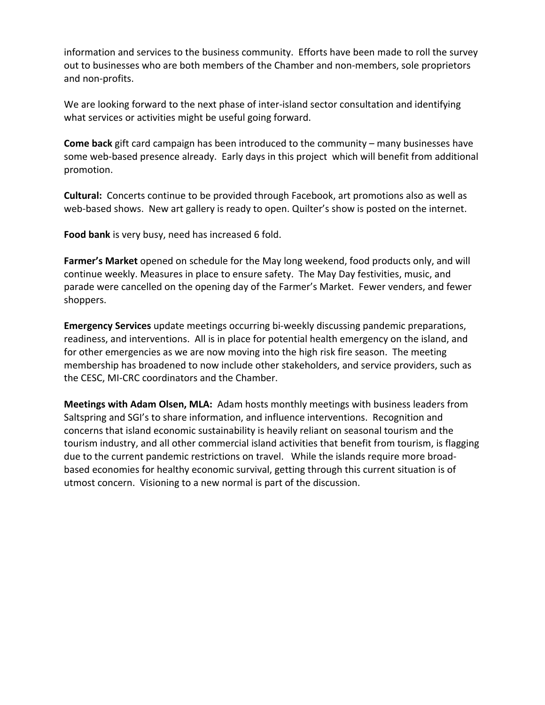information and services to the business community. Efforts have been made to roll the survey out to businesses who are both members of the Chamber and non-members, sole proprietors and non-profits.

We are looking forward to the next phase of inter-island sector consultation and identifying what services or activities might be useful going forward.

**Come back** gift card campaign has been introduced to the community – many businesses have some web-based presence already. Early days in this project which will benefit from additional promotion.

**Cultural:** Concerts continue to be provided through Facebook, art promotions also as well as web-based shows. New art gallery is ready to open. Quilter's show is posted on the internet.

**Food bank** is very busy, need has increased 6 fold.

**Farmer's Market** opened on schedule for the May long weekend, food products only, and will continue weekly. Measures in place to ensure safety. The May Day festivities, music, and parade were cancelled on the opening day of the Farmer's Market. Fewer venders, and fewer shoppers.

**Emergency Services** update meetings occurring bi-weekly discussing pandemic preparations, readiness, and interventions. All is in place for potential health emergency on the island, and for other emergencies as we are now moving into the high risk fire season. The meeting membership has broadened to now include other stakeholders, and service providers, such as the CESC, MI-CRC coordinators and the Chamber.

**Meetings with Adam Olsen, MLA:** Adam hosts monthly meetings with business leaders from Saltspring and SGI's to share information, and influence interventions. Recognition and concerns that island economic sustainability is heavily reliant on seasonal tourism and the tourism industry, and all other commercial island activities that benefit from tourism, is flagging due to the current pandemic restrictions on travel. While the islands require more broadbased economies for healthy economic survival, getting through this current situation is of utmost concern. Visioning to a new normal is part of the discussion.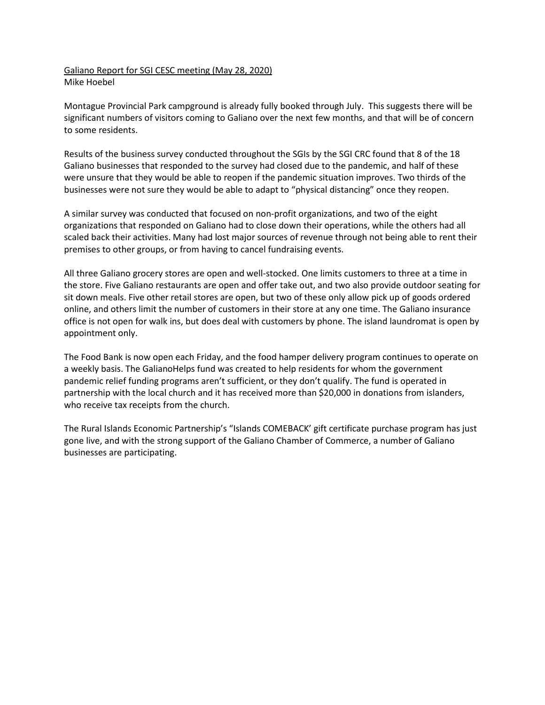### Galiano Report for SGI CESC meeting (May 28, 2020) Mike Hoebel

Montague Provincial Park campground is already fully booked through July. This suggests there will be significant numbers of visitors coming to Galiano over the next few months, and that will be of concern to some residents.

Results of the business survey conducted throughout the SGIs by the SGI CRC found that 8 of the 18 Galiano businesses that responded to the survey had closed due to the pandemic, and half of these were unsure that they would be able to reopen if the pandemic situation improves. Two thirds of the businesses were not sure they would be able to adapt to "physical distancing" once they reopen.

A similar survey was conducted that focused on non-profit organizations, and two of the eight organizations that responded on Galiano had to close down their operations, while the others had all scaled back their activities. Many had lost major sources of revenue through not being able to rent their premises to other groups, or from having to cancel fundraising events.

All three Galiano grocery stores are open and well-stocked. One limits customers to three at a time in the store. Five Galiano restaurants are open and offer take out, and two also provide outdoor seating for sit down meals. Five other retail stores are open, but two of these only allow pick up of goods ordered online, and others limit the number of customers in their store at any one time. The Galiano insurance office is not open for walk ins, but does deal with customers by phone. The island laundromat is open by appointment only.

The Food Bank is now open each Friday, and the food hamper delivery program continues to operate on a weekly basis. The GalianoHelps fund was created to help residents for whom the government pandemic relief funding programs aren't sufficient, or they don't qualify. The fund is operated in partnership with the local church and it has received more than \$20,000 in donations from islanders, who receive tax receipts from the church.

The Rural Islands Economic Partnership's "Islands COMEBACK' gift certificate purchase program has just gone live, and with the strong support of the Galiano Chamber of Commerce, a number of Galiano businesses are participating.